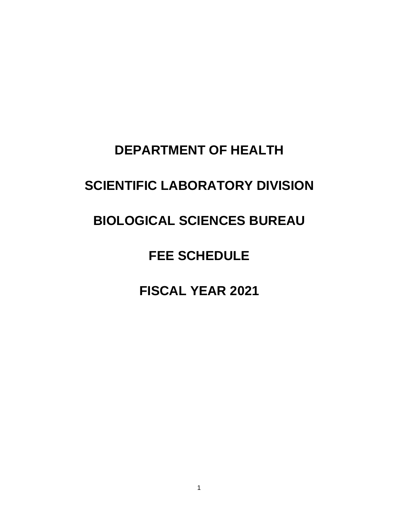## **DEPARTMENT OF HEALTH**

# **SCIENTIFIC LABORATORY DIVISION**

## **BIOLOGICAL SCIENCES BUREAU**

## **FEE SCHEDULE**

### **FISCAL YEAR 2021**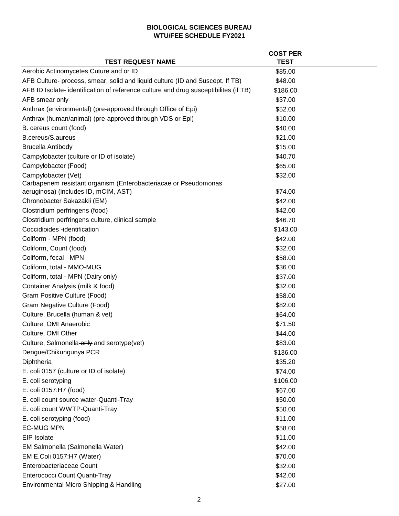|                                                                                      | <b>COST PER</b> |  |
|--------------------------------------------------------------------------------------|-----------------|--|
| <b>TEST REQUEST NAME</b>                                                             | <b>TEST</b>     |  |
| Aerobic Actinomycetes Cuture and or ID                                               | \$85.00         |  |
| AFB Culture- process, smear, solid and liquid culture (ID and Suscept. If TB)        | \$48.00         |  |
| AFB ID Isolate- identification of reference culture and drug susceptibilites (if TB) | \$186.00        |  |
| AFB smear only                                                                       | \$37.00         |  |
| Anthrax (environmental) (pre-approved through Office of Epi)                         | \$52.00         |  |
| Anthrax (human/animal) (pre-approved through VDS or Epi)                             | \$10.00         |  |
| B. cereus count (food)                                                               | \$40.00         |  |
| <b>B.cereus/S.aureus</b>                                                             | \$21.00         |  |
| <b>Brucella Antibody</b>                                                             | \$15.00         |  |
| Campylobacter (culture or ID of isolate)                                             | \$40.70         |  |
| Campylobacter (Food)                                                                 | \$65.00         |  |
| Campylobacter (Vet)                                                                  | \$32.00         |  |
| Carbapenem resistant organism (Enterobacteriacae or Pseudomonas                      |                 |  |
| aeruginosa) (includes ID, mCIM, AST)                                                 | \$74.00         |  |
| Chronobacter Sakazakii (EM)                                                          | \$42.00         |  |
| Clostridium perfringens (food)                                                       | \$42.00         |  |
| Clostridium perfringens culture, clinical sample                                     | \$46.70         |  |
| Coccidioides -identification                                                         | \$143.00        |  |
| Coliform - MPN (food)                                                                | \$42.00         |  |
| Coliform, Count (food)                                                               | \$32.00         |  |
| Coliform, fecal - MPN                                                                | \$58.00         |  |
| Coliform, total - MMO-MUG                                                            | \$36.00         |  |
| Coliform, total - MPN (Dairy only)                                                   | \$37.00         |  |
| Container Analysis (milk & food)                                                     | \$32.00         |  |
| Gram Positive Culture (Food)                                                         | \$58.00         |  |
| Gram Negative Culture (Food)                                                         | \$82.00         |  |
| Culture, Brucella (human & vet)                                                      | \$64.00         |  |
| Culture, OMI Anaerobic                                                               | \$71.50         |  |
| Culture, OMI Other                                                                   | \$44.00         |  |
| Culture, Salmonella-only and serotype(vet)                                           | \$83.00         |  |
| Dengue/Chikungunya PCR                                                               | \$136.00        |  |
| Diphtheria                                                                           | \$35.20         |  |
| E. coli 0157 (culture or ID of isolate)                                              | \$74.00         |  |
| E. coli serotyping                                                                   | \$106.00        |  |
| E. coli 0157:H7 (food)                                                               | \$67.00         |  |
| E. coli count source water-Quanti-Tray                                               | \$50.00         |  |
| E. coli count WWTP-Quanti-Tray                                                       | \$50.00         |  |
| E. coli serotyping (food)                                                            | \$11.00         |  |
| <b>EC-MUG MPN</b>                                                                    | \$58.00         |  |
| EIP Isolate                                                                          | \$11.00         |  |
| EM Salmonella (Salmonella Water)                                                     | \$42.00         |  |
| EM E.Coli 0157:H7 (Water)                                                            | \$70.00         |  |
| Enterobacteriaceae Count                                                             | \$32.00         |  |
| Enterococci Count Quanti-Tray                                                        | \$42.00         |  |
| Environmental Micro Shipping & Handling                                              | \$27.00         |  |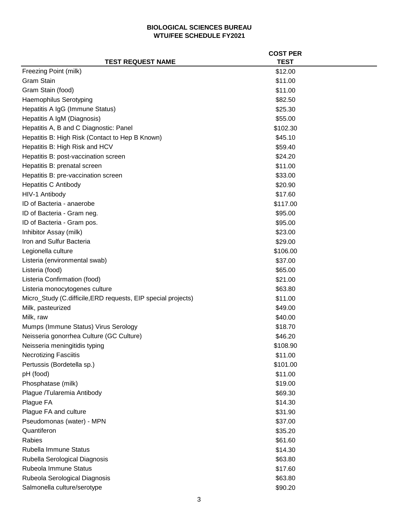|                                                               | <b>COST PER</b> |
|---------------------------------------------------------------|-----------------|
| <b>TEST REQUEST NAME</b>                                      | <b>TEST</b>     |
| Freezing Point (milk)                                         | \$12.00         |
| <b>Gram Stain</b>                                             | \$11.00         |
| Gram Stain (food)                                             | \$11.00         |
| <b>Haemophilus Serotyping</b>                                 | \$82.50         |
| Hepatitis A IgG (Immune Status)                               | \$25.30         |
| Hepatitis A IgM (Diagnosis)                                   | \$55.00         |
| Hepatitis A, B and C Diagnostic: Panel                        | \$102.30        |
| Hepatitis B: High Risk (Contact to Hep B Known)               | \$45.10         |
| Hepatitis B: High Risk and HCV                                | \$59.40         |
| Hepatitis B: post-vaccination screen                          | \$24.20         |
| Hepatitis B: prenatal screen                                  | \$11.00         |
| Hepatitis B: pre-vaccination screen                           | \$33.00         |
| <b>Hepatitis C Antibody</b>                                   | \$20.90         |
| HIV-1 Antibody                                                | \$17.60         |
| ID of Bacteria - anaerobe                                     | \$117.00        |
| ID of Bacteria - Gram neg.                                    | \$95.00         |
| ID of Bacteria - Gram pos.                                    | \$95.00         |
| Inhibitor Assay (milk)                                        | \$23.00         |
| Iron and Sulfur Bacteria                                      | \$29.00         |
| Legionella culture                                            | \$106.00        |
| Listeria (environmental swab)                                 | \$37.00         |
| Listeria (food)                                               | \$65.00         |
| Listeria Confirmation (food)                                  | \$21.00         |
| Listeria monocytogenes culture                                | \$63.80         |
| Micro_Study (C.difficile, ERD requests, EIP special projects) | \$11.00         |
| Milk, pasteurized                                             | \$49.00         |
| Milk, raw                                                     | \$40.00         |
| Mumps (Immune Status) Virus Serology                          | \$18.70         |
| Neisseria gonorrhea Culture (GC Culture)                      | \$46.20         |
| Neisseria meningitidis typing                                 | \$108.90        |
| <b>Necrotizing Fasciitis</b>                                  | \$11.00         |
| Pertussis (Bordetella sp.)                                    | \$101.00        |
| pH (food)                                                     | \$11.00         |
| Phosphatase (milk)                                            | \$19.00         |
| Plague /Tularemia Antibody                                    | \$69.30         |
| Plague FA                                                     | \$14.30         |
| Plague FA and culture                                         | \$31.90         |
| Pseudomonas (water) - MPN                                     | \$37.00         |
| Quantiferon                                                   | \$35.20         |
| Rabies                                                        | \$61.60         |
| Rubella Immune Status                                         | \$14.30         |
| Rubella Serological Diagnosis                                 | \$63.80         |
| Rubeola Immune Status                                         | \$17.60         |
| Rubeola Serological Diagnosis                                 | \$63.80         |
| Salmonella culture/serotype                                   | \$90.20         |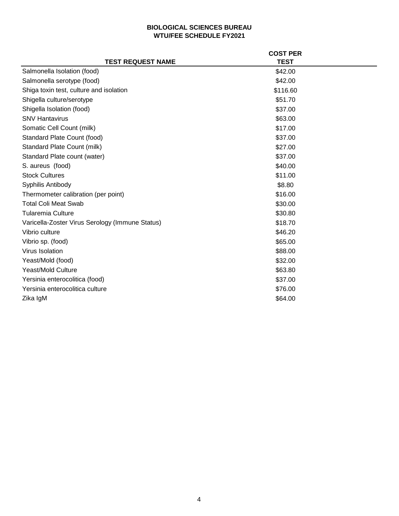|                                                 | <b>COST PER</b> |  |
|-------------------------------------------------|-----------------|--|
| <b>TEST REQUEST NAME</b>                        | <b>TEST</b>     |  |
| Salmonella Isolation (food)                     | \$42.00         |  |
| Salmonella serotype (food)                      | \$42.00         |  |
| Shiga toxin test, culture and isolation         | \$116.60        |  |
| Shigella culture/serotype                       | \$51.70         |  |
| Shigella Isolation (food)                       | \$37.00         |  |
| <b>SNV Hantavirus</b>                           | \$63.00         |  |
| Somatic Cell Count (milk)                       | \$17.00         |  |
| Standard Plate Count (food)                     | \$37.00         |  |
| Standard Plate Count (milk)                     | \$27.00         |  |
| Standard Plate count (water)                    | \$37.00         |  |
| S. aureus (food)                                | \$40.00         |  |
| <b>Stock Cultures</b>                           | \$11.00         |  |
| Syphilis Antibody                               | \$8.80          |  |
| Thermometer calibration (per point)             | \$16.00         |  |
| <b>Total Coli Meat Swab</b>                     | \$30.00         |  |
| Tularemia Culture                               | \$30.80         |  |
| Varicella-Zoster Virus Serology (Immune Status) | \$18.70         |  |
| Vibrio culture                                  | \$46.20         |  |
| Vibrio sp. (food)                               | \$65.00         |  |
| Virus Isolation                                 | \$88.00         |  |
| Yeast/Mold (food)                               | \$32.00         |  |
| <b>Yeast/Mold Culture</b>                       | \$63.80         |  |
| Yersinia enterocolitica (food)                  | \$37.00         |  |
| Yersinia enterocolitica culture                 | \$76.00         |  |
| Zika IgM                                        | \$64.00         |  |